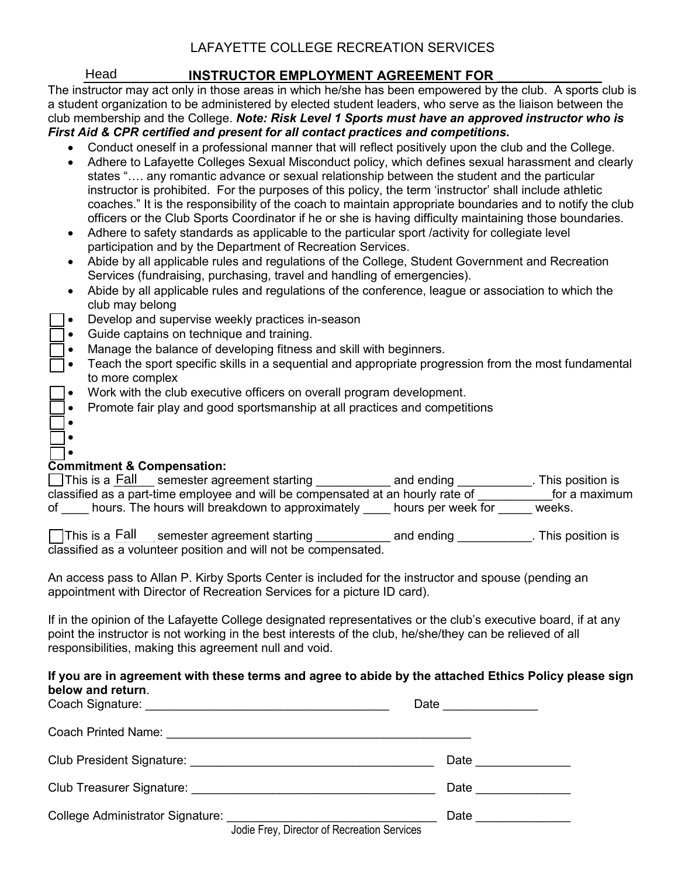## LAFAYETTE COLLEGE RECREATION SERVICES

## Head **INSTRUCTOR EMPLOYMENT AGREEMENT FOR**

The instructor may act only in those areas in which he/she has been empowered by the club. A sports club is a student organization to be administered by elected student leaders, who serve as the liaison between the club membership and the College. *Note: Risk Level 1 Sports must have an approved instructor who is First Aid & CPR certified and present for all contact practices and competitions***.** 

- Conduct oneself in a professional manner that will reflect positively upon the club and the College.
- Adhere to Lafayette Colleges Sexual Misconduct policy, which defines sexual harassment and clearly states "…. any romantic advance or sexual relationship between the student and the particular instructor is prohibited. For the purposes of this policy, the term 'instructor' shall include athletic coaches." It is the responsibility of the coach to maintain appropriate boundaries and to notify the club officers or the Club Sports Coordinator if he or she is having difficulty maintaining those boundaries. Head<br>
structor m<br>
embership<br>
id & CPR<br>
Conduct<br>
Adhere to<br>
states "...<br>
instructor<br>
coaches.<br>
officers o<br>
Adhere to<br>
Adhere to<br>
Abide by<br>
Services<br>
Abide by<br>
Club may<br>
Develop<br>
Guide ca<br>
Manage 1<br>
Teach th<br>
to more c<br>
Work
- Adhere to safety standards as applicable to the particular sport /activity for collegiate level participation and by the Department of Recreation Services.
- Abide by all applicable rules and regulations of the College, Student Government and Recreation Services (fundraising, purchasing, travel and handling of emergencies).
- Abide by all applicable rules and regulations of the conference, league or association to which the club may belong
- Develop and supervise weekly practices in-season
- Guide captains on technique and training.
- Manage the balance of developing fitness and skill with beginners.
- Teach the sport specific skills in a sequential and appropriate progression from the most fundamental to more complex
- Work with the club executive officers on overall program development.
- Promote fair play and good sportsmanship at all practices and competitions

#### • **Commitment & Compensation:**

• •

|    | □ This is a Fall semester agreement starting                                    | and ending         | . This position is |
|----|---------------------------------------------------------------------------------|--------------------|--------------------|
|    | classified as a part-time employee and will be compensated at an hourly rate of |                    | for a maximum      |
| of | hours. The hours will breakdown to approximately                                | hours per week for | weeks.             |

 $\Box$ This is a Fall semester agreement starting  $\Box$  and ending  $\Box$  This position is classified as a volunteer position and will not be compensated.

An access pass to Allan P. Kirby Sports Center is included for the instructor and spouse (pending an appointment with Director of Recreation Services for a picture ID card).

If in the opinion of the Lafayette College designated representatives or the club's executive board, if at any point the instructor is not working in the best interests of the club, he/she/they can be relieved of all responsibilities, making this agreement null and void.

#### **If you are in agreement with these terms and agree to abide by the attached Ethics Policy please sign below and return**.

|                                             | Date ___________     |
|---------------------------------------------|----------------------|
|                                             |                      |
|                                             | Date __________      |
|                                             | Date <u>________</u> |
| Jodie Frey, Director of Recreation Services | Date ____________    |